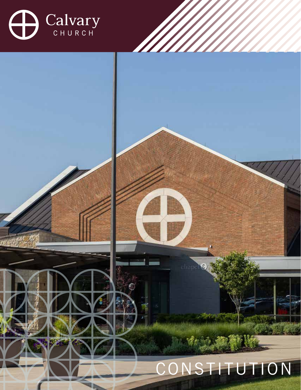

# **CONSTITUTION**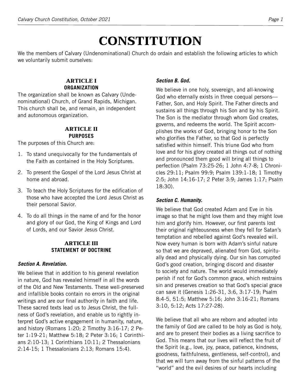# **CONSTITUTION**

We the members of Calvary (Undenominational) Church do ordain and establish the following articles to which we voluntarily submit ourselves:

#### **ARTICLE I ORGANIZATION**

The organization shall be known as Calvary (Undenominational) Church, of Grand Rapids, Michigan. This church shall be, and remain, an independent and autonomous organization.

#### **ARTICLE II PURPOSES**

The purposes of this Church are:

- 1. To stand unequivocally for the fundamentals of the Faith as contained in the Holy Scriptures.
- 2. To present the Gospel of the Lord Jesus Christ at home and abroad.
- 3. To teach the Holy Scriptures for the edification of those who have accepted the Lord Jesus Christ as their personal Savior.
- 4. To do all things in the name of and for the honor and glory of our God, the King of Kings and Lord of Lords, and our Savior Jesus Christ.

# **ARTICLE III STATEMENT OF DOCTRINE**

# *Section A. Revelation.*

We believe that in addition to his general revelation in nature, God has revealed himself in all the words of the Old and New Testaments. These well-preserved and infallible books contain no errors in the original writings and are our final authority in faith and life. These sacred texts lead us to Jesus Christ, the fullness of God's revelation, and enable us to rightly interpret God's active engagement in humanity, nature, and history (Romans 1:20; 2 Timothy 3:16-17; 2 Peter 1:19-21; Matthew 5:18; 2 Peter 3:16; 1 Corinthians 2:10-13; 1 Corinthians 10:11; 2 Thessalonians 2:14-15; 1 Thessalonians 2:13; Romans 15:4).

# *Section B. God.*

We believe in one holy, sovereign, and all-knowing God who eternally exists in three coequal persons— Father, Son, and Holy Spirit. The Father directs and sustains all things through his Son and by his Spirit. The Son is the mediator through whom God creates, governs, and redeems the world. The Spirit accomplishes the works of God, bringing honor to the Son who glorifies the Father, so that God is perfectly satisfied within himself. This triune God who from love and for his glory created all things out of nothing and pronounced them good will bring all things to perfection (Psalm 73:25-26; 1 John 4:7-8; 1 Chronicles 29:11; Psalm 99:9; Psalm 139:1-18; 1 Timothy 2:5; John 14:16-17; 2 Peter 3:9; James 1:17; Psalm 18:30).

# *Section C. Humanity.*

We believe that God created Adam and Eve in his image so that he might love them and they might love him and glorify him. However, our first parents lost their original righteousness when they fell for Satan's temptation and rebelled against God's revealed will. Now every human is born with Adam's sinful nature so that we are depraved, alienated from God, spiritually dead and physically dying. Our sin has corrupted God's good creation, bringing discord and disaster to society and nature. The world would immediately perish if not for God's common grace, which restrains sin and preserves creation so that God's special grace can save it (Genesis 1:26-31, 3:6, 3:17-19; Psalm 8:4-5, 51:5; Matthew 5:16; John 3:16-21; Romans 3:10, 5:12; Acts 17:27-28).

We believe that all who are reborn and adopted into the family of God are called to be holy as God is holy, and are to present their bodies as a living sacrifice to God. This means that our lives will reflect the fruit of the Spirit (e.g., love, joy, peace, patience, kindness, goodness, faithfulness, gentleness, self-control), and that we will turn away from the sinful patterns of the "world" and the evil desires of our hearts including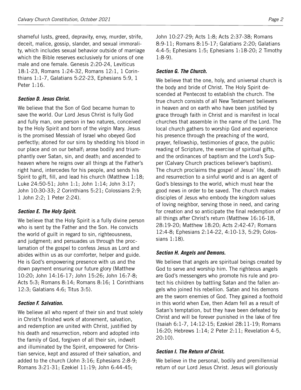shameful lusts, greed, depravity, envy, murder, strife, deceit, malice, gossip, slander, and sexual immorality, which includes sexual behavior outside of marriage which the Bible reserves exclusively for unions of one male and one female. Genesis 2:20-24, Leviticus 18:1-23, Romans 1:24-32, Romans 12:1, 1 Corinthians 1:1-7, Galatians 5:22-23, Ephesians 5:9, 1 Peter 1:16.

#### *Section D. Jesus Christ.*

We believe that the Son of God became human to save the world. Our Lord Jesus Christ is fully God and fully man, one person in two natures, conceived by the Holy Spirit and born of the virgin Mary. Jesus is the promised Messiah of Israel who obeyed God perfectly; atoned for our sins by shedding his blood in our place and on our behalf; arose bodily and triumphantly over Satan, sin, and death; and ascended to heaven where he reigns over all things at the Father's right hand, intercedes for his people, and sends his Spirit to gift, fill, and lead his church (Matthew 1:18; Luke 24:50-51; John 1:1; John 1:14; John 3:17; John 10:30-33; 2 Corinthians 5:21; Colossians 2:9; 1 John 2:2; 1 Peter 2:24).

#### *Section E. The Holy Spirit.*

We believe that the Holy Spirit is a fully divine person who is sent by the Father and the Son. He convicts the world of guilt in regard to sin, righteousness, and judgment; and persuades us through the proclamation of the gospel to confess Jesus as Lord and abides within us as our comforter, helper and guide. He is God's empowering presence with us and the down payment ensuring our future glory (Matthew 10:20; John 14:16-17; John 15:26; John 16:7-8; Acts 5:3; Romans 8:14; Romans 8:16; 1 Corinthians 12:3; Galatians 4:6; Titus 3:5).

#### *Section F. Salvation.*

We believe all who repent of their sin and trust solely in Christ's finished work of atonement, salvation, and redemption are united with Christ, justified by his death and resurrection, reborn and adopted into the family of God, forgiven of all their sin, indwelt and illuminated by the Spirit, empowered for Christian service, kept and assured of their salvation, and added to the church (John 3:16; Ephesians 2:8-9; Romans 3:21-31; Ezekiel 11:19; John 6:44-45;

John 10:27-29; Acts 1:8; Acts 2:37-38; Romans 8:9-11; Romans 8:15-17; Galatians 2:20; Galatians 4:4-5; Ephesians 1:5; Ephesians 1:18-20; 2 Timothy 1:8-9).

#### *Section G. The Church.*

We believe that the one, holy, and universal church is the body and bride of Christ. The Holy Spirit descended at Pentecost to establish the church. The true church consists of all New Testament believers in heaven and on earth who have been justified by grace through faith in Christ and is manifest in local churches that assemble in the name of the Lord. The local church gathers to worship God and experience his presence through the preaching of the word, prayer, fellowship, testimonies of grace, the public reading of Scripture, the exercise of spiritual gifts, and the ordinances of baptism and the Lord's Supper (Calvary Church practices believer's baptism). The church proclaims the gospel of Jesus' life, death and resurrection to a sinful world and is an agent of God's blessings to the world, which must hear the good news in order to be saved. The church makes disciples of Jesus who embody the kingdom values of loving neighbor, serving those in need, and caring for creation and so anticipate the final redemption of all things after Christ's return (Matthew 16:16-18, 28:19-20; Matthew 18:20; Acts 2:42-47; Romans 12:4-8; Ephesians 2:14-22, 4:10-13, 5:29; Colossians 1:18).

#### *Section H. Angels and Demons.*

We believe that angels are spiritual beings created by God to serve and worship him. The righteous angels are God's messengers who promote his rule and protect his children by battling Satan and the fallen angels who joined his rebellion. Satan and his demons are the sworn enemies of God. They gained a foothold in this world when Eve, then Adam fell as a result of Satan's temptation, but they have been defeated by Christ and will be forever punished in the lake of fire (Isaiah 6:1-7, 14:12-15; Ezekiel 28:11-19; Romans 16:20; Hebrews 1:14; 2 Peter 2:11; Revelation 4-5, 20:10).

#### *Section I. The Return of Christ.*

We believe in the personal, bodily and premillennial return of our Lord Jesus Christ. Jesus will gloriously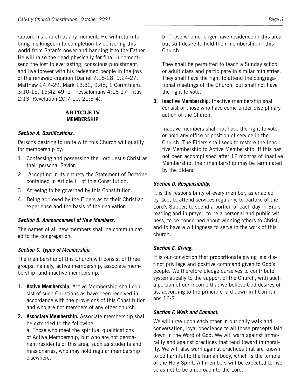rapture his church at any moment. He will return to bring his kingdom to completion by delivering this world from Satan's power and handing it to the Father. He will raise the dead physically for final Judgment; send the lost to everlasting, conscious punishment; and live forever with his redeemed people in the joys of the renewed creation (Daniel 7:15-28, 9:24-27; Matthew 24:4-29; Mark 13:32, 9:48; 1 Corinthians 3:10-15, 15:42-49; 1 Thessalonians 4:16-17; Titus 2:13; Revelation 20:7-10, 21:3-4).

#### **ARTICLE IV MEMBERSHIP**

# *Section A. Qualifications.*

Persons desiring to unite with this Church will qualify for membership by:

- 1. Confessing and possessing the Lord Jesus Christ as their personal Savior.
- 2. Accepting in its entirety the Statement of Doctrine contained in Article III of this Constitution.
- 3. Agreeing to be governed by this Constitution.
- 4. Being approved by the Elders as to their Christian experience and the basis of their salvation.

#### *Section B. Announcement of New Members.*

The names of all new members shall be communicated to the congregation.

# *Section C. Types of Membership.*

The membership of this Church will consist of three groups; namely, active membership, associate membership, and inactive membership.

- **1. Active Membership.** Active Membership shall consist of such Christians as have been received in accordance with the provisions of this Constitution and who are not members of any other church.
- **2. Associate Membership.** Associate membership shall be extended to the following:

a. Those who meet the spiritual qualifications of Active Membership, but who are not permanent residents of this area, such as students and missionaries, who may hold regular membership elsewhere.

b. Those who no longer have residence in this area but still desire to hold their membership in this Church.

They shall be permitted to teach a Sunday school or adult class and participate in similar ministries. They shall have the right to attend the congregational meetings of the Church, but shall not have the right to vote.

**3. Inactive Membership.** Inactive membership shall consist of those who have come under disciplinary action of the Church.

Inactive members shall not have the right to vote or hold any office or position of service in the Church. The Elders shall seek to restore the Inactive Membership to Active Membership. If this has not been accomplished after 12 months of Inactive Membership, their membership may be terminated by the Elders.

# *Section D. Responsibility.*

It is the responsibility of every member, as enabled by God, to attend services regularly, to partake of the Lord's Supper, to spend a portion of each day in Bible reading and in prayer, to be a personal and public witness, to be concerned about winning others to Christ, and to have a willingness to serve in the work of this church.

# *Section E. Giving.*

It is our conviction that proportionate giving is a distinct privilege and positive command given to God's people. We therefore pledge ourselves to contribute systematically to the support of the Church, with such a portion of our income that we believe God desires of us, according to the principle laid down in I Corinthians 16:2.

#### *Section F. Walk and Conduct.*

We will urge upon each other in our daily walk and conversation, loyal obedience to all those precepts laid down in the Word of God. We will warn against immorality and against practices that tend toward immorality. We will also warn against practices that are known to be harmful to the human body, which is the temple of the Holy Spirit. All members will be expected to live so as not to be a reproach to the Lord.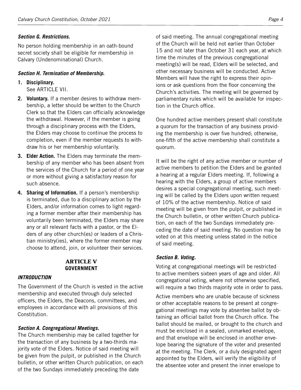#### *Section G. Restrictions.*

No person holding membership in an oath-bound secret society shall be eligible for membership in Calvary (Undenominational) Church.

#### *Section H. Termination of Membership.*

- **1. Disciplinary.** See ARTICLE VII.
- **2. Voluntary.** If a member desires to withdraw membership, a letter should be written to the Church Clerk so that the Elders can officially acknowledge the withdrawal. However, if the member is going through a disciplinary process with the Elders, the Elders may choose to continue the process to completion, even if the member requests to withdraw his or her membership voluntarily.
- **3. Elder Action.** The Elders may terminate the membership of any member who has been absent from the services of the Church for a period of one year or more without giving a satisfactory reason for such absence.
- **4. Sharing of Information.** If a person's membership is terminated, due to a disciplinary action by the Elders, and/or information comes to light regarding a former member after their membership has voluntarily been terminated, the Elders may share any or all relevant facts with a pastor, or the Elders of any other church(es) or leaders of a Christian ministry(ies), where the former member may choose to attend, join, or volunteer their services.

#### **ARTICLE V GOVERNMENT**

#### *INTRODUCTION*

The Government of the Church is vested in the active membership and executed through duly selected officers, the Elders, the Deacons, committees, and employees in accordance with all provisions of this Constitution.

#### *Section A. Congregational Meetings.*

The Church membership may be called together for the transaction of any business by a two-thirds majority vote of the Elders. Notice of said meeting will be given from the pulpit, or published in the Church bulletin, or other written Church publication, on each of the two Sundays immediately preceding the date

of said meeting. The annual congregational meeting of the Church will be held not earlier than October 15 and not later than October 31 each year, at which time the minutes of the previous congregational meeting(s) will be read, Elders will be selected, and other necessary business will be conducted. Active Members will have the right to express their opinions or ask questions from the floor concerning the Church's activities. The meeting will be governed by parliamentary rules which will be available for inspection in the Church office.

One hundred active members present shall constitute a quorum for the transaction of any business providing the membership is over five hundred; otherwise, one-fifth of the active membership shall constitute a quorum.

It will be the right of any active member or number of active members to petition the Elders and be granted a hearing at a regular Elders meeting. If, following a hearing with the Elders, a group of active members desires a special congregational meeting, such meeting will be called by the Elders upon written request of 10% of the active membership. Notice of said meeting will be given from the pulpit, or published in the Church bulletin, or other written Church publication, on each of the two Sundays immediately preceding the date of said meeting. No question may be voted on at this meeting unless stated in the notice of said meeting.

#### *Section B. Voting.*

Voting at congregational meetings will be restricted to active members sixteen years of age and older. All congregational voting, where not otherwise specified, will require a two thirds majority vote in order to pass.

Active members who are unable because of sickness or other acceptable reasons to be present at congregational meetings may vote by absentee ballot by obtaining an official ballot from the Church office. The ballot should be mailed, or brought to the church and must be enclosed in a sealed, unmarked envelope, and that envelope will be enclosed in another envelope bearing the signature of the voter and presented at the meeting. The Clerk, or a duly designated agent appointed by the Elders, will verify the eligibility of the absentee voter and present the inner envelope to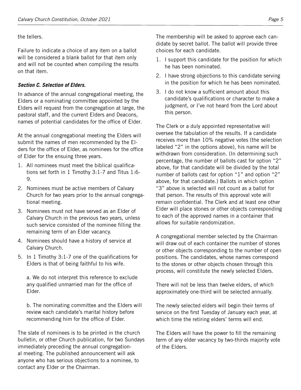the tellers.

Failure to indicate a choice of any item on a ballot will be considered a blank ballot for that item only and will not be counted when compiling the results on that item.

# *Section C. Selection of Elders.*

In advance of the annual congregational meeting, the Elders or a nominating committee appointed by the Elders will request from the congregation at large, the pastoral staff, and the current Elders and Deacons, names of potential candidates for the office of Elder.

At the annual congregational meeting the Elders will submit the names of men recommended by the Elders for the office of Elder, as nominees for the office of Elder for the ensuing three years.

- 1. All nominees must meet the biblical qualifications set forth in 1 Timothy 3:1-7 and Titus 1:6- 9.
- 2. Nominees must be active members of Calvary Church for two years prior to the annual congregational meeting.
- 3. Nominees must not have served as an Elder of Calvary Church in the previous two years, unless such service consisted of the nominee filling the remaining term of an Elder vacancy.
- 4. Nominees should have a history of service at Calvary Church.
- 5. In 1 Timothy 3:1-7 one of the qualifications for Elders is that of being faithful to his wife.

a. We do not interpret this reference to exclude any qualified unmarried man for the office of Elder.

b. The nominating committee and the Elders will review each candidate's marital history before recommending him for the office of Elder.

The slate of nominees is to be printed in the church bulletin, or other Church publication, for two Sundays immediately preceding the annual congregational meeting. The published announcement will ask anyone who has serious objections to a nominee, to contact any Elder or the Chairman.

The membership will be asked to approve each candidate by secret ballot. The ballot will provide three choices for each candidate.

- 1. I support this candidate for the position for which he has been nominated.
- 2. I have strong objections to this candidate serving in the position for which he has been nominated.
- 3. I do not know a sufficient amount about this candidate's qualifications or character to make a judgment, or I've not heard from the Lord about this person.

The Clerk or a duly appointed representative will oversee the tabulation of the results. If a candidate receives more than 10% negative votes (the selection labeled "2" in the options above), his name will be withdrawn from consideration. (In determining such percentage, the number of ballots cast for option "2" above, for that candidate will be divided by the total number of ballots cast for option "1" and option "2" above, for that candidate.) Ballots in which option "3" above is selected will not count as a ballot for that person. The results of this approval vote will remain confidential. The Clerk and at least one other Elder will place stones or other objects corresponding to each of the approved names in a container that allows for suitable randomization.

A congregational member selected by the Chairman will draw out of each container the number of stones or other objects corresponding to the number of open positions. The candidates, whose names correspond to the stones or other objects chosen through this process, will constitute the newly selected Elders.

There will not be less than twelve elders, of which approximately one-third will be selected annually.

The newly selected elders will begin their terms of service on the first Tuesday of January each year, at which time the retiring elders' terms will end.

The Elders will have the power to fill the remaining term of any elder vacancy by two-thirds majority vote of the Elders.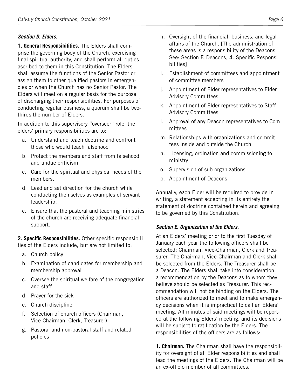#### *Section D. Elders.*

**1. General Responsibilities.** The Elders shall comprise the governing body of the Church, exercising final spiritual authority, and shall perform all duties ascribed to them in this Constitution. The Elders shall assume the functions of the Senior Pastor or assign them to other qualified pastors in emergencies or when the Church has no Senior Pastor. The Elders will meet on a regular basis for the purpose of discharging their responsibilities. For purposes of conducting regular business, a quorum shall be twothirds the number of Elders.

In addition to this supervisory "overseer" role, the elders' primary responsibilities are to:

- a. Understand and teach doctrine and confront those who would teach falsehood
- b. Protect the members and staff from falsehood and undue criticism
- c. Care for the spiritual and physical needs of the members.
- d. Lead and set direction for the church while conducting themselves as examples of servant leadership.
- e. Ensure that the pastoral and teaching ministries of the church are receiving adequate financial support.

**2. Specific Responsibilities.** Other specific responsibilities of the Elders include, but are not limited to:

- a. Church policy
- b. Examination of candidates for membership and membership approval
- c. Oversee the spiritual welfare of the congregation and staff
- d. Prayer for the sick
- e. Church discipline
- f. Selection of church officers (Chairman, Vice-Chairman, Clerk, Treasurer)
- g. Pastoral and non-pastoral staff and related policies
- h. Oversight of the financial, business, and legal affairs of the Church. [The administration of these areas is a responsibility of the Deacons. See: Section F. Deacons, 4. Specific Responsibilities]
- i. Establishment of committees and appointment of committee members
- j. Appointment of Elder representatives to Elder Advisory Committees
- k. Appointment of Elder representatives to Staff Advisory Committees
- l. Approval of any Deacon representatives to Committees
- m. Relationships with organizations and committees inside and outside the Church
- n. Licensing, ordination and commissioning to ministry
- o. Supervision of sub-organizations
- p. Appointment of Deacons

Annually, each Elder will be required to provide in writing, a statement accepting in its entirety the statement of doctrine contained herein and agreeing to be governed by this Constitution.

#### *Section E. Organization of the Elders.*

At an Elders' meeting prior to the first Tuesday of January each year the following officers shall be selected: Chairman, Vice-Chairman, Clerk and Treasurer. The Chairman, Vice-Chairman and Clerk shall be selected from the Elders. The Treasurer shall be a Deacon. The Elders shall take into consideration a recommendation by the Deacons as to whom they believe should be selected as Treasurer. This recommendation will not be binding on the Elders. The officers are authorized to meet and to make emergency decisions when it is impractical to call an Elders' meeting. All minutes of said meetings will be reported at the following Elders' meeting, and its decisions will be subject to ratification by the Elders. The responsibilities of the officers are as follows:

**1. Chairman.** The Chairman shall have the responsibility for oversight of all Elder responsibilities and shall lead the meetings of the Elders. The Chairman will be an ex-officio member of all committees.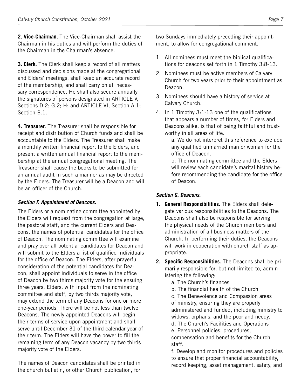**2. Vice-Chairman.** The Vice-Chairman shall assist the Chairman in his duties and will perform the duties of the Chairman in the Chairman's absence.

**3. Clerk.** The Clerk shall keep a record of all matters discussed and decisions made at the congregational and Elders' meetings, shall keep an accurate record of the membership, and shall carry on all necessary correspondence. He shall also secure annually the signatures of persons designated in ARTICLE V, Sections D.2; G.2; H; and ARTICLE VI, Section A.1; Section B.1.

**4. Treasurer.** The Treasurer shall be responsible for receipt and distribution of Church funds and shall be accountable to the Elders. The Treasurer shall make a monthly written financial report to the Elders, and present a written annual financial report to the membership at the annual congregational meeting. The Treasurer shall cause the books to be submitted for an annual audit in such a manner as may be directed by the Elders. The Treasurer will be a Deacon and will be an officer of the Church.

# *Section F. Appointment of Deacons.*

The Elders or a nominating committee appointed by the Elders will request from the congregation at large, the pastoral staff, and the current Elders and Deacons, the names of potential candidates for the office of Deacon. The nominating committee will examine and pray over all potential candidates for Deacon and will submit to the Elders a list of qualified individuals for the office of Deacon. The Elders, after prayerful consideration of the potential candidates for Deacon, shall appoint individuals to serve in the office of Deacon by two thirds majority vote for the ensuing three years. Elders, with input from the nominating committee and staff, by two thirds majority vote, may extend the term of any Deacons for one or more one-year periods. There will be not less than twelve Deacons. The newly appointed Deacons will begin their terms of service upon appointment and shall serve until December 31 of the third calendar year of their term. The Elders will have the power to fill the remaining term of any Deacon vacancy by two thirds majority vote of the Elders.

The names of Deacon candidates shall be printed in the church bulletin, or other Church publication, for

two Sundays immediately preceding their appointment, to allow for congregational comment.

- 1. All nominees must meet the biblical qualifications for deacons set forth in 1 Timothy 3:8-13.
- 2. Nominees must be active members of Calvary Church for two years prior to their appointment as Deacon.
- 3. Nominees should have a history of service at Calvary Church.
- 4. In 1 Timothy 3:1-13 one of the qualifications that appears a number of times, for Elders and Deacons alike, is that of being faithful and trustworthy in all areas of life.

a. We do not interpret this reference to exclude any qualified unmarried man or woman for the office of Deacon.

b. The nominating committee and the Elders will review each candidate's marital history before recommending the candidate for the office of Deacon.

#### *Section G. Deacons.*

- **1. General Responsibilities.** The Elders shall delegate various responsibilities to the Deacons. The Deacons shall also be responsible for serving the physical needs of the Church members and administration of all business matters of the Church. In performing their duties, the Deacons will work in cooperation with church staff as appropriate.
- **2. Specific Responsibilities.** The Deacons shall be primarily responsible for, but not limited to, administering the following:
	- a. The Church's finances
	- b. The financial health of the Church

c. The Benevolence and Compassion areas of ministry, ensuring they are properly administered and funded, including ministry to widows, orphans, and the poor and needy.

d. The Church's Facilities and Operations

e. Personnel policies, procedures, compensation and benefits for the Church staff.

f. Develop and monitor procedures and policies to ensure that proper financial accountability, record keeping, asset management, safety, and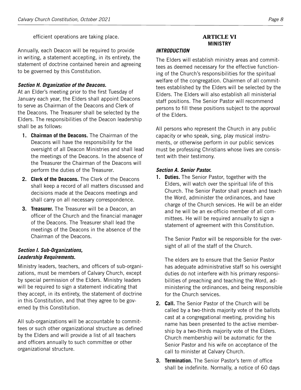efficient operations are taking place.

Annually, each Deacon will be required to provide in writing, a statement accepting, in its entirety, the statement of doctrine contained herein and agreeing to be governed by this Constitution.

#### *Section H. Organization of the Deacons.*

At an Elder's meeting prior to the first Tuesday of January each year, the Elders shall appoint Deacons to serve as Chairman of the Deacons and Clerk of the Deacons. The Treasurer shall be selected by the Elders. The responsibilities of the Deacon leadership shall be as follows:

- **1. Chairman of the Deacons.** The Chairman of the Deacons will have the responsibility for the oversight of all Deacon Ministries and shall lead the meetings of the Deacons. In the absence of the Treasurer the Chairman of the Deacons will perform the duties of the Treasurer.
- **2. Clerk of the Deacons.** The Clerk of the Deacons shall keep a record of all matters discussed and decisions made at the Deacons meetings and shall carry on all necessary correspondence.
- **3. Treasurer.** The Treasurer will be a Deacon, an officer of the Church and the financial manager of the Deacons. The Treasurer shall lead the meetings of the Deacons in the absence of the Chairman of the Deacons.

#### *Section I. Sub-Organizations, Leadership Requirements.*

Ministry leaders, teachers, and officers of sub-organizations, must be members of Calvary Church, except by special permission of the Elders. Ministry leaders will be required to sign a statement indicating that they accept, in its entirety, the statement of doctrine in this Constitution, and that they agree to be governed by this Constitution.

All sub-organizations will be accountable to committees or such other organizational structure as defined by the Elders and will provide a list of all teachers and officers annually to such committee or other organizational structure.

# **ARTICLE VI MINISTRY**

#### *INTRODUCTION*

The Elders will establish ministry areas and committees as deemed necessary for the effective functioning of the Church's responsibilities for the spiritual welfare of the congregation. Chairmen of all committees established by the Elders will be selected by the Elders. The Elders will also establish all ministerial staff positions. The Senior Pastor will recommend persons to fill these positions subject to the approval of the Elders.

All persons who represent the Church in any public capacity or who speak, sing, play musical instruments, or otherwise perform in our public services must be professing Christians whose lives are consistent with their testimony.

#### *Section A. Senior Pastor.*

**1. Duties.** The Senior Pastor, together with the Elders, will watch over the spiritual life of this Church. The Senior Pastor shall preach and teach the Word, administer the ordinances, and have charge of the Church services. He will be an elder and he will be an ex-officio member of all committees. He will be required annually to sign a statement of agreement with this Constitution.

The Senior Pastor will be responsible for the oversight of all of the staff of the Church.

The elders are to ensure that the Senior Pastor has adequate administrative staff so his oversight duties do not interfere with his primary responsibilities of preaching and teaching the Word, administering the ordinances, and being responsible for the Church services.

- **2. Call.** The Senior Pastor of the Church will be called by a two-thirds majority vote of the ballots cast at a congregational meeting, providing his name has been presented to the active membership by a two-thirds majority vote of the Elders. Church membership will be automatic for the Senior Pastor and his wife on acceptance of the call to minister at Calvary Church.
- **3. Termination.** The Senior Pastor's term of office shall be indefinite. Normally, a notice of 60 days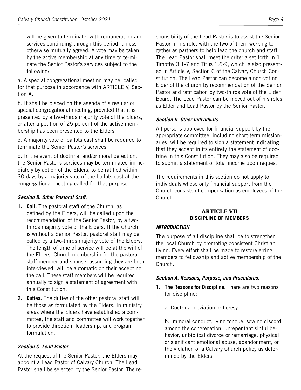will be given to terminate, with remuneration and services continuing through this period, unless otherwise mutually agreed. A vote may be taken by the active membership at any time to terminate the Senior Pastor's services subject to the following:

a. A special congregational meeting may be called for that purpose in accordance with ARTICLE V, Section A.

b. It shall be placed on the agenda of a regular or special congregational meeting, provided that it is presented by a two-thirds majority vote of the Elders, or after a petition of 25 percent of the active membership has been presented to the Elders.

c. A majority vote of ballots cast shall be required to terminate the Senior Pastor's services.

d. In the event of doctrinal and/or moral defection, the Senior Pastor's services may be terminated immediately by action of the Elders, to be ratified within 30 days by a majority vote of the ballots cast at the congregational meeting called for that purpose.

## *Section B. Other Pastoral Staff.*

- **1. Call.** The pastoral staff of the Church, as defined by the Elders, will be called upon the recommendation of the Senior Pastor, by a twothirds majority vote of the Elders. If the Church is without a Senior Pastor, pastoral staff may be called by a two-thirds majority vote of the Elders. The length of time of service will be at the will of the Elders. Church membership for the pastoral staff member and spouse, assuming they are both interviewed, will be automatic on their accepting the call. These staff members will be required annually to sign a statement of agreement with this Constitution.
- **2. Duties.** The duties of the other pastoral staff will be those as formulated by the Elders. In ministry areas where the Elders have established a committee, the staff and committee will work together to provide direction, leadership, and program formulation.

# *Section C. Lead Pastor.*

At the request of the Senior Pastor, the Elders may appoint a Lead Pastor of Calvary Church. The Lead Pastor shall be selected by the Senior Pastor. The responsibility of the Lead Pastor is to assist the Senior Pastor in his role, with the two of them working together as partners to help lead the church and staff. The Lead Pastor shall meet the criteria set forth in 1 Timothy 3:1-7 and Titus 1:6-9, which is also presented in Article V, Section C of the Calvary Church Constitution. The Lead Pastor can become a non-voting Elder of the church by recommendation of the Senior Pastor and ratification by two-thirds vote of the Elder Board. The Lead Pastor can be moved out of his roles as Elder and Lead Pastor by the Senior Pastor.

# *Section D. Other Individuals.*

All persons approved for financial support by the appropriate committee, including short-term missionaries, will be required to sign a statement indicating that they accept in its entirety the statement of doctrine in this Constitution. They may also be required to submit a statement of total income upon request.

The requirements in this section do not apply to individuals whose only financial support from the Church consists of compensation as employees of the Church.

#### **ARTICLE VII DISCIPLINE OF MEMBERS**

#### *INTRODUCTION*

The purpose of all discipline shall be to strengthen the local Church by promoting consistent Christian living. Every effort shall be made to restore erring members to fellowship and active membership of the Church.

#### *Section A. Reasons, Purpose, and Procedures.*

- **1. The Reasons for Discipline.** There are two reasons for discipline:
	- a. Doctrinal deviation or heresy

b. Immoral conduct, lying tongue, sowing discord among the congregation, unrepentant sinful behavior, unbiblical divorce or remarriage, physical or significant emotional abuse, abandonment, or the violation of a Calvary Church policy as determined by the Elders.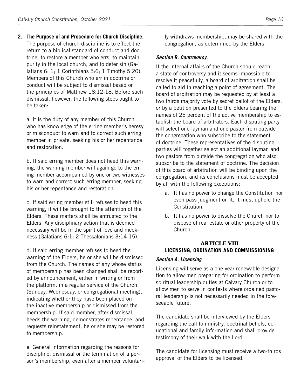**2. The Purpose of and Procedure for Church Discipline.** The purpose of church discipline is to effect the return to a biblical standard of conduct and doctrine, to restore a member who errs, to maintain purity in the local church, and to deter sin (Galatians 6: 1; 1 Corinthians 5:6; 1 Timothy 5:20). Members of this Church who err in doctrine or conduct will be subject to dismissal based on the principles of Matthew 18:12-18. Before such dismissal, however, the following steps ought to be taken:

a. It is the duty of any member of this Church who has knowledge of the erring member's heresy or misconduct to warn and to correct such erring member in private, seeking his or her repentance and restoration.

b. If said erring member does not heed this warning, the warning member will again go to the erring member accompanied by one or two witnesses to warn and correct such erring member, seeking his or her repentance and restoration.

c. If said erring member still refuses to heed this warning, it will be brought to the attention of the Elders. These matters shall be entrusted to the Elders. Any disciplinary action that is deemed necessary will be in the spirit of love and meekness (Galatians 6:1; 2 Thessalonians 3:14-15).

d. If said erring member refuses to heed the warning of the Elders, he or she will be dismissed from the Church. The names of any whose status of membership has been changed shall be reported by announcement, either in writing or from the platform, in a regular service of the Church (Sunday, Wednesday, or congregational meeting), indicating whether they have been placed on the inactive membership or dismissed from the membership. If said member, after dismissal, heeds the warning, demonstrates repentance, and requests reinstatement, he or she may be restored to membership.

e. General information regarding the reasons for discipline, dismissal or the termination of a person's membership, even after a member voluntarily withdraws membership, may be shared with the congregation, as determined by the Elders.

#### *Section B. Controversy.*

If the internal affairs of the Church should reach a state of controversy and it seems impossible to resolve it peacefully, a board of arbitration shall be called to aid in reaching a point of agreement. The board of arbitration may be requested by at least a two thirds majority vote by secret ballot of the Elders, or by a petition presented to the Elders bearing the names of 25 percent of the active membership to establish the board of arbitrators. Each disputing party will select one layman and one pastor from outside the congregation who subscribe to the statement of doctrine. These representatives of the disputing parties will together select an additional layman and two pastors from outside the congregation who also subscribe to the statement of doctrine. The decision of this board of arbitration will be binding upon the congregation, and its conclusions must be accepted by all with the following exceptions:

- a. It has no power to change the Constitution nor even pass judgment on it. It must uphold the Constitution.
- b. It has no power to dissolve the Church nor to dispose of real estate or other property of the Church.

# **ARTICLE VIII LICENSING, ORDINATION AND COMMISSIONING**

#### *Section A. Licensing*

Licensing will serve as a one-year renewable designation to allow men preparing for ordination to perform spiritual leadership duties at Calvary Church or to allow men to serve in contexts where ordained pastoral leadership is not necessarily needed in the foreseeable future.

The candidate shall be interviewed by the Elders regarding the call to ministry, doctrinal beliefs, educational and family information and shall provide testimony of their walk with the Lord.

The candidate for licensing must receive a two-thirds approval of the Elders to be licensed.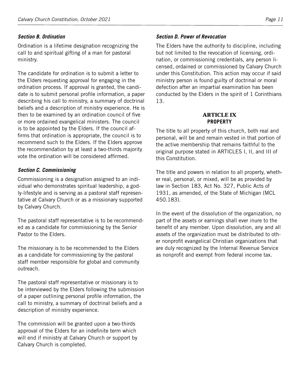#### *Section B. Ordination*

Ordination is a lifetime designation recognizing the call to and spiritual gifting of a man for pastoral ministry.

The candidate for ordination is to submit a letter to the Elders requesting approval for engaging in the ordination process. If approval is granted, the candidate is to submit personal profile information, a paper describing his call to ministry, a summary of doctrinal beliefs and a description of ministry experience. He is then to be examined by an ordination council of five or more ordained evangelical ministers. The council is to be appointed by the Elders. If the council affirms that ordination is appropriate, the council is to recommend such to the Elders. If the Elders approve the recommendation by at least a two-thirds majority vote the ordination will be considered affirmed.

#### *Section C. Commissioning*

Commissioning is a designation assigned to an individual who demonstrates spiritual leadership, a godly-lifestyle and is serving as a pastoral staff representative at Calvary Church or as a missionary supported by Calvary Church.

The pastoral staff representative is to be recommended as a candidate for commissioning by the Senior Pastor to the Elders.

The missionary is to be recommended to the Elders as a candidate for commissioning by the pastoral staff member responsible for global and community outreach.

The pastoral staff representative or missionary is to be interviewed by the Elders following the submission of a paper outlining personal profile information, the call to ministry, a summary of doctrinal beliefs and a description of ministry experience.

The commission will be granted upon a two-thirds approval of the Elders for an indefinite term which will end if ministry at Calvary Church or support by Calvary Church is completed.

#### *Section D. Power of Revocation*

The Elders have the authority to discipline, including but not limited to the revocation of licensing, ordination, or commissioning credentials, any person licensed, ordained or commissioned by Calvary Church under this Constitution. This action may occur if said ministry person is found guilty of doctrinal or moral defection after an impartial examination has been conducted by the Elders in the spirit of 1 Corinthians 13.

#### **ARTICLE IX PROPERTY**

The title to all property of this church, both real and personal, will be and remain vested in that portion of the active membership that remains faithful to the original purpose stated in ARTICLES I, II, and III of this Constitution.

The title and powers in relation to all property, whether real, personal, or mixed, will be as provided by law in Section 183, Act No. 327, Public Acts of 1931, as amended, of the State of Michigan (MCL 450.183).

In the event of the dissolution of the organization, no part of the assets or earnings shall ever inure to the benefit of any member. Upon dissolution, any and all assets of the organization must be distributed to other nonprofit evangelical Christian organizations that are duly recognized by the Internal Revenue Service as nonprofit and exempt from federal income tax.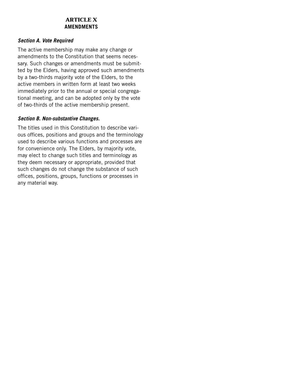## **ARTICLE X AMENDMENTS**

#### *Section A. Vote Required*

The active membership may make any change or amendments to the Constitution that seems necessary. Such changes or amendments must be submitted by the Elders, having approved such amendments by a two-thirds majority vote of the Elders, to the active members in written form at least two weeks immediately prior to the annual or special congregational meeting, and can be adopted only by the vote of two-thirds of the active membership present.

#### *Section B. Non-substantive Changes.*

The titles used in this Constitution to describe various offices, positions and groups and the terminology used to describe various functions and processes are for convenience only. The Elders, by majority vote, may elect to change such titles and terminology as they deem necessary or appropriate, provided that such changes do not change the substance of such offices, positions, groups, functions or processes in any material way.